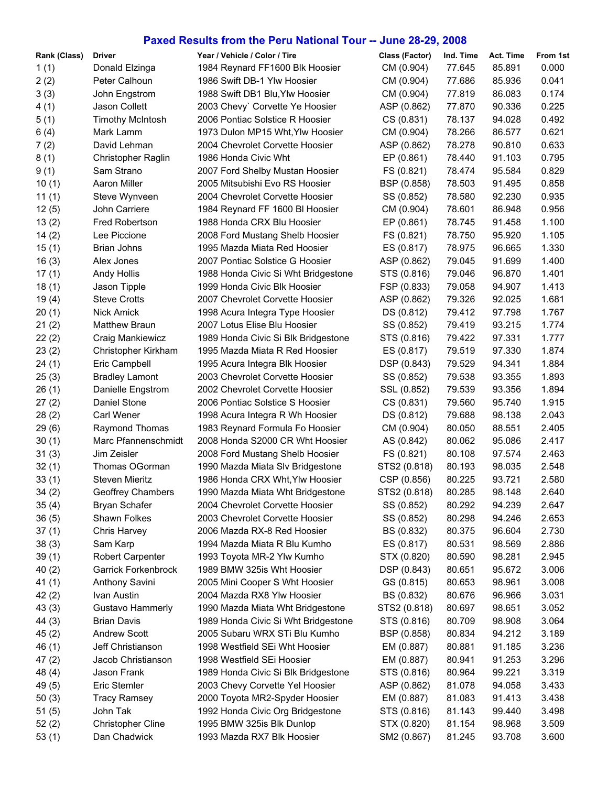## **Paxed Results from the Peru National Tour -- June 28-29, 2008**

| Rank (Class) | <b>Driver</b>              | Year / Vehicle / Color / Tire       | Class (Factor) | Ind. Time | Act. Time | From 1st |
|--------------|----------------------------|-------------------------------------|----------------|-----------|-----------|----------|
| 1(1)         | Donald Elzinga             | 1984 Reynard FF1600 Blk Hoosier     | CM (0.904)     | 77.645    | 85.891    | 0.000    |
| 2(2)         | Peter Calhoun              | 1986 Swift DB-1 Ylw Hoosier         | CM (0.904)     | 77.686    | 85.936    | 0.041    |
| 3(3)         | John Engstrom              | 1988 Swift DB1 Blu, Ylw Hoosier     | CM (0.904)     | 77.819    | 86.083    | 0.174    |
| 4(1)         | Jason Collett              | 2003 Chevy' Corvette Ye Hoosier     | ASP (0.862)    | 77.870    | 90.336    | 0.225    |
| 5(1)         | <b>Timothy McIntosh</b>    | 2006 Pontiac Solstice R Hoosier     | CS (0.831)     | 78.137    | 94.028    | 0.492    |
| 6(4)         | Mark Lamm                  | 1973 Dulon MP15 Wht, Ylw Hoosier    | CM (0.904)     | 78.266    | 86.577    | 0.621    |
| 7(2)         | David Lehman               | 2004 Chevrolet Corvette Hoosier     | ASP (0.862)    | 78.278    | 90.810    | 0.633    |
| 8(1)         | Christopher Raglin         | 1986 Honda Civic Wht                | EP (0.861)     | 78.440    | 91.103    | 0.795    |
| 9(1)         | Sam Strano                 | 2007 Ford Shelby Mustan Hoosier     | FS (0.821)     | 78.474    | 95.584    | 0.829    |
| 10(1)        | <b>Aaron Miller</b>        | 2005 Mitsubishi Evo RS Hoosier      | BSP (0.858)    | 78.503    | 91.495    | 0.858    |
| 11(1)        | Steve Wynveen              | 2004 Chevrolet Corvette Hoosier     | SS (0.852)     | 78.580    | 92.230    | 0.935    |
| 12(5)        | John Carriere              | 1984 Reynard FF 1600 BI Hoosier     | CM (0.904)     | 78.601    | 86.948    | 0.956    |
| 13(2)        | <b>Fred Robertson</b>      | 1988 Honda CRX Blu Hoosier          | EP (0.861)     | 78.745    | 91.458    | 1.100    |
| 14(2)        | Lee Piccione               | 2008 Ford Mustang Shelb Hoosier     | FS (0.821)     | 78.750    | 95.920    | 1.105    |
| 15(1)        | <b>Brian Johns</b>         | 1995 Mazda Miata Red Hoosier        | ES (0.817)     | 78.975    | 96.665    | 1.330    |
| 16(3)        | Alex Jones                 | 2007 Pontiac Solstice G Hoosier     | ASP (0.862)    | 79.045    | 91.699    | 1.400    |
| 17(1)        | <b>Andy Hollis</b>         | 1988 Honda Civic Si Wht Bridgestone | STS (0.816)    | 79.046    | 96.870    | 1.401    |
| 18(1)        | Jason Tipple               | 1999 Honda Civic Blk Hoosier        | FSP (0.833)    | 79.058    | 94.907    | 1.413    |
| 19(4)        | <b>Steve Crotts</b>        | 2007 Chevrolet Corvette Hoosier     | ASP (0.862)    | 79.326    | 92.025    | 1.681    |
| 20(1)        | Nick Amick                 | 1998 Acura Integra Type Hoosier     | DS (0.812)     | 79.412    | 97.798    | 1.767    |
| 21(2)        | <b>Matthew Braun</b>       | 2007 Lotus Elise Blu Hoosier        | SS (0.852)     | 79.419    | 93.215    | 1.774    |
| 22(2)        | Craig Mankiewicz           | 1989 Honda Civic Si Blk Bridgestone | STS (0.816)    | 79.422    | 97.331    | 1.777    |
| 23(2)        | Christopher Kirkham        | 1995 Mazda Miata R Red Hoosier      | ES (0.817)     | 79.519    | 97.330    | 1.874    |
| 24(1)        | Eric Campbell              | 1995 Acura Integra Blk Hoosier      | DSP (0.843)    | 79.529    | 94.341    | 1.884    |
| 25(3)        | <b>Bradley Lamont</b>      | 2003 Chevrolet Corvette Hoosier     | SS (0.852)     | 79.538    | 93.355    | 1.893    |
| 26(1)        | Danielle Engstrom          | 2002 Chevrolet Corvette Hoosier     | SSL (0.852)    | 79.539    | 93.356    | 1.894    |
| 27(2)        | Daniel Stone               | 2006 Pontiac Solstice S Hoosier     | CS (0.831)     | 79.560    | 95.740    | 1.915    |
| 28(2)        | <b>Carl Wener</b>          | 1998 Acura Integra R Wh Hoosier     | DS (0.812)     | 79.688    | 98.138    | 2.043    |
| 29(6)        | Raymond Thomas             | 1983 Reynard Formula Fo Hoosier     | CM (0.904)     | 80.050    | 88.551    | 2.405    |
| 30(1)        | Marc Pfannenschmidt        | 2008 Honda S2000 CR Wht Hoosier     | AS (0.842)     | 80.062    | 95.086    | 2.417    |
| 31(3)        | Jim Zeisler                | 2008 Ford Mustang Shelb Hoosier     | FS (0.821)     | 80.108    | 97.574    | 2.463    |
| 32(1)        | Thomas OGorman             | 1990 Mazda Miata Slv Bridgestone    | STS2 (0.818)   | 80.193    | 98.035    | 2.548    |
| 33(1)        | <b>Steven Mieritz</b>      | 1986 Honda CRX Wht, Ylw Hoosier     | CSP (0.856)    | 80.225    | 93.721    | 2.580    |
| 34(2)        | Geoffrey Chambers          | 1990 Mazda Miata Wht Bridgestone    | STS2 (0.818)   | 80.285    | 98.148    | 2.640    |
| 35(4)        | <b>Bryan Schafer</b>       | 2004 Chevrolet Corvette Hoosier     | SS (0.852)     | 80.292    | 94.239    | 2.647    |
| 36(5)        | Shawn Folkes               | 2003 Chevrolet Corvette Hoosier     | SS (0.852)     | 80.298    | 94.246    | 2.653    |
| 37(1)        | Chris Harvey               | 2006 Mazda RX-8 Red Hoosier         | BS (0.832)     | 80.375    | 96.604    | 2.730    |
| 38(3)        | Sam Karp                   | 1994 Mazda Miata R Blu Kumho        | ES (0.817)     | 80.531    | 98.569    | 2.886    |
| 39(1)        | Robert Carpenter           | 1993 Toyota MR-2 Ylw Kumho          | STX (0.820)    | 80.590    | 98.281    | 2.945    |
| 40(2)        | <b>Garrick Forkenbrock</b> | 1989 BMW 325is Wht Hoosier          | DSP (0.843)    | 80.651    | 95.672    | 3.006    |
| 41(1)        | Anthony Savini             | 2005 Mini Cooper S Wht Hoosier      | GS (0.815)     | 80.653    | 98.961    | 3.008    |
| 42(2)        | Ivan Austin                | 2004 Mazda RX8 Ylw Hoosier          | BS (0.832)     | 80.676    | 96.966    | 3.031    |
| 43(3)        | Gustavo Hammerly           | 1990 Mazda Miata Wht Bridgestone    | STS2 (0.818)   | 80.697    | 98.651    | 3.052    |
| 44(3)        | <b>Brian Davis</b>         | 1989 Honda Civic Si Wht Bridgestone | STS (0.816)    | 80.709    | 98.908    | 3.064    |
| 45(2)        | <b>Andrew Scott</b>        | 2005 Subaru WRX STi Blu Kumho       | BSP (0.858)    | 80.834    | 94.212    | 3.189    |
| 46(1)        | Jeff Christianson          | 1998 Westfield SEi Wht Hoosier      | EM (0.887)     | 80.881    | 91.185    | 3.236    |
| 47(2)        | Jacob Christianson         | 1998 Westfield SEi Hoosier          | EM (0.887)     | 80.941    | 91.253    | 3.296    |
| 48 (4)       | Jason Frank                | 1989 Honda Civic Si Blk Bridgestone | STS (0.816)    | 80.964    | 99.221    | 3.319    |
| 49(5)        | Eric Stemler               | 2003 Chevy Corvette Yel Hoosier     | ASP (0.862)    | 81.078    | 94.058    | 3.433    |
| 50(3)        | <b>Tracy Ramsey</b>        | 2000 Toyota MR2-Spyder Hoosier      | EM (0.887)     | 81.083    | 91.413    | 3.438    |
| 51(5)        | John Tak                   | 1992 Honda Civic Org Bridgestone    | STS (0.816)    | 81.143    | 99.440    | 3.498    |
| 52(2)        | <b>Christopher Cline</b>   | 1995 BMW 325is Blk Dunlop           | STX (0.820)    | 81.154    | 98.968    | 3.509    |
| 53(1)        | Dan Chadwick               | 1993 Mazda RX7 Blk Hoosier          | SM2 (0.867)    | 81.245    | 93.708    | 3.600    |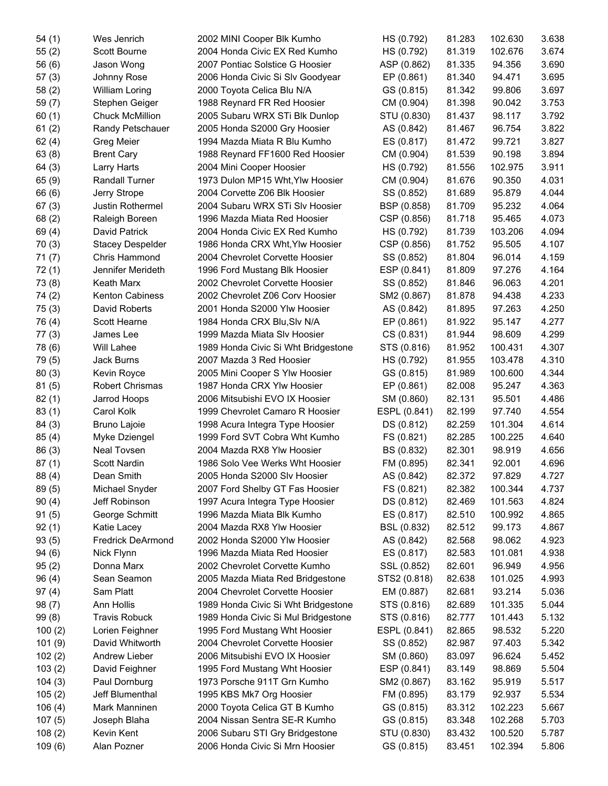| 54(1)  | Wes Jenrich              | 2002 MINI Cooper Blk Kumho          | HS (0.792)   | 81.283 | 102.630 | 3.638 |
|--------|--------------------------|-------------------------------------|--------------|--------|---------|-------|
| 55(2)  | Scott Bourne             | 2004 Honda Civic EX Red Kumho       | HS (0.792)   | 81.319 | 102.676 | 3.674 |
| 56(6)  | Jason Wong               | 2007 Pontiac Solstice G Hoosier     | ASP (0.862)  | 81.335 | 94.356  | 3.690 |
| 57(3)  | Johnny Rose              | 2006 Honda Civic Si Slv Goodyear    | EP (0.861)   | 81.340 | 94.471  | 3.695 |
| 58(2)  | <b>William Loring</b>    | 2000 Toyota Celica Blu N/A          | GS (0.815)   | 81.342 | 99.806  | 3.697 |
| 59(7)  | Stephen Geiger           | 1988 Reynard FR Red Hoosier         | CM (0.904)   | 81.398 | 90.042  | 3.753 |
| 60(1)  | <b>Chuck McMillion</b>   | 2005 Subaru WRX STi Blk Dunlop      | STU (0.830)  | 81.437 | 98.117  | 3.792 |
| 61(2)  | Randy Petschauer         | 2005 Honda S2000 Gry Hoosier        | AS (0.842)   | 81.467 | 96.754  | 3.822 |
| 62(4)  | Greg Meier               | 1994 Mazda Miata R Blu Kumho        | ES (0.817)   | 81.472 | 99.721  | 3.827 |
| 63(8)  | <b>Brent Cary</b>        | 1988 Reynard FF1600 Red Hoosier     | CM (0.904)   | 81.539 | 90.198  | 3.894 |
| 64(3)  | Larry Harts              | 2004 Mini Cooper Hoosier            | HS (0.792)   | 81.556 | 102.975 | 3.911 |
| 65(9)  | Randall Turner           | 1973 Dulon MP15 Wht, Ylw Hoosier    | CM (0.904)   | 81.676 | 90.350  | 4.031 |
| 66 (6) | Jerry Strope             | 2004 Corvette Z06 Blk Hoosier       | SS (0.852)   | 81.689 | 95.879  | 4.044 |
| 67(3)  | Justin Rothermel         | 2004 Subaru WRX STi Slv Hoosier     | BSP (0.858)  | 81.709 | 95.232  | 4.064 |
| 68(2)  | Raleigh Boreen           | 1996 Mazda Miata Red Hoosier        | CSP (0.856)  | 81.718 | 95.465  | 4.073 |
| 69(4)  | David Patrick            | 2004 Honda Civic EX Red Kumho       | HS (0.792)   | 81.739 | 103.206 | 4.094 |
| 70(3)  | <b>Stacey Despelder</b>  | 1986 Honda CRX Wht, Ylw Hoosier     | CSP (0.856)  | 81.752 | 95.505  | 4.107 |
| 71(7)  | Chris Hammond            | 2004 Chevrolet Corvette Hoosier     | SS (0.852)   | 81.804 | 96.014  | 4.159 |
| 72(1)  | Jennifer Merideth        | 1996 Ford Mustang Blk Hoosier       | ESP (0.841)  | 81.809 | 97.276  | 4.164 |
| 73(8)  | Keath Marx               | 2002 Chevrolet Corvette Hoosier     | SS (0.852)   | 81.846 | 96.063  | 4.201 |
| 74(2)  | <b>Kenton Cabiness</b>   | 2002 Chevrolet Z06 Corv Hoosier     | SM2 (0.867)  | 81.878 | 94.438  | 4.233 |
| 75(3)  | David Roberts            | 2001 Honda S2000 Ylw Hoosier        | AS (0.842)   | 81.895 | 97.263  | 4.250 |
| 76 (4) | Scott Hearne             | 1984 Honda CRX Blu, Slv N/A         | EP (0.861)   | 81.922 | 95.147  | 4.277 |
| 77(3)  | James Lee                | 1999 Mazda Miata Slv Hoosier        | CS (0.831)   | 81.944 | 98.609  | 4.299 |
| 78 (6) | <b>Will Lahee</b>        | 1989 Honda Civic Si Wht Bridgestone | STS (0.816)  | 81.952 | 100.431 | 4.307 |
| 79 (5) | Jack Burns               | 2007 Mazda 3 Red Hoosier            | HS (0.792)   | 81.955 | 103.478 | 4.310 |
| 80(3)  | Kevin Royce              | 2005 Mini Cooper S Ylw Hoosier      | GS (0.815)   | 81.989 | 100.600 | 4.344 |
| 81(5)  | <b>Robert Chrismas</b>   | 1987 Honda CRX Ylw Hoosier          | EP (0.861)   | 82.008 | 95.247  | 4.363 |
| 82(1)  | Jarrod Hoops             | 2006 Mitsubishi EVO IX Hoosier      | SM (0.860)   | 82.131 | 95.501  | 4.486 |
| 83(1)  | Carol Kolk               | 1999 Chevrolet Camaro R Hoosier     | ESPL (0.841) | 82.199 | 97.740  | 4.554 |
| 84(3)  | <b>Bruno Lajoie</b>      | 1998 Acura Integra Type Hoosier     | DS (0.812)   | 82.259 | 101.304 | 4.614 |
| 85(4)  | Myke Dziengel            | 1999 Ford SVT Cobra Wht Kumho       | FS (0.821)   | 82.285 | 100.225 | 4.640 |
| 86(3)  | <b>Neal Tovsen</b>       | 2004 Mazda RX8 Ylw Hoosier          | BS (0.832)   | 82.301 | 98.919  | 4.656 |
| 87(1)  | Scott Nardin             | 1986 Solo Vee Werks Wht Hoosier     | FM (0.895)   | 82.341 | 92.001  | 4.696 |
| 88 (4) | Dean Smith               | 2005 Honda S2000 Slv Hoosier        | AS (0.842)   | 82.372 | 97.829  | 4.727 |
| 89(5)  | Michael Snyder           | 2007 Ford Shelby GT Fas Hoosier     | FS (0.821)   | 82.382 | 100.344 | 4.737 |
| 90(4)  | Jeff Robinson            | 1997 Acura Integra Type Hoosier     | DS (0.812)   | 82.469 | 101.563 | 4.824 |
| 91(5)  | George Schmitt           | 1996 Mazda Miata Blk Kumho          | ES (0.817)   | 82.510 | 100.992 | 4.865 |
| 92(1)  | Katie Lacey              | 2004 Mazda RX8 Ylw Hoosier          | BSL (0.832)  | 82.512 | 99.173  | 4.867 |
| 93(5)  | <b>Fredrick DeArmond</b> | 2002 Honda S2000 Ylw Hoosier        | AS (0.842)   | 82.568 | 98.062  | 4.923 |
| 94(6)  | Nick Flynn               | 1996 Mazda Miata Red Hoosier        | ES (0.817)   | 82.583 | 101.081 | 4.938 |
| 95(2)  | Donna Marx               | 2002 Chevrolet Corvette Kumho       | SSL (0.852)  | 82.601 | 96.949  | 4.956 |
| 96(4)  | Sean Seamon              | 2005 Mazda Miata Red Bridgestone    | STS2 (0.818) | 82.638 | 101.025 | 4.993 |
| 97(4)  | Sam Platt                | 2004 Chevrolet Corvette Hoosier     | EM (0.887)   | 82.681 | 93.214  | 5.036 |
| 98(7)  | Ann Hollis               | 1989 Honda Civic Si Wht Bridgestone | STS (0.816)  | 82.689 | 101.335 | 5.044 |
| 99(8)  | <b>Travis Robuck</b>     | 1989 Honda Civic Si Mul Bridgestone | STS (0.816)  | 82.777 | 101.443 | 5.132 |
| 100(2) | Lorien Feighner          | 1995 Ford Mustang Wht Hoosier       | ESPL (0.841) | 82.865 | 98.532  | 5.220 |
| 101(9) | David Whitworth          | 2004 Chevrolet Corvette Hoosier     | SS (0.852)   | 82.987 | 97.403  | 5.342 |
| 102(2) | Andrew Lieber            | 2006 Mitsubishi EVO IX Hoosier      | SM (0.860)   | 83.097 | 96.624  | 5.452 |
| 103(2) | David Feighner           | 1995 Ford Mustang Wht Hoosier       | ESP (0.841)  | 83.149 | 98.869  | 5.504 |
| 104(3) | Paul Dornburg            | 1973 Porsche 911T Grn Kumho         | SM2 (0.867)  | 83.162 | 95.919  | 5.517 |
| 105(2) | Jeff Blumenthal          | 1995 KBS Mk7 Org Hoosier            | FM (0.895)   | 83.179 | 92.937  | 5.534 |
| 106(4) | Mark Manninen            | 2000 Toyota Celica GT B Kumho       | GS (0.815)   | 83.312 | 102.223 | 5.667 |
| 107(5) | Joseph Blaha             | 2004 Nissan Sentra SE-R Kumho       | GS (0.815)   | 83.348 | 102.268 | 5.703 |
| 108(2) | Kevin Kent               | 2006 Subaru STI Gry Bridgestone     | STU (0.830)  | 83.432 | 100.520 | 5.787 |
| 109(6) | Alan Pozner              | 2006 Honda Civic Si Mrn Hoosier     | GS (0.815)   | 83.451 | 102.394 | 5.806 |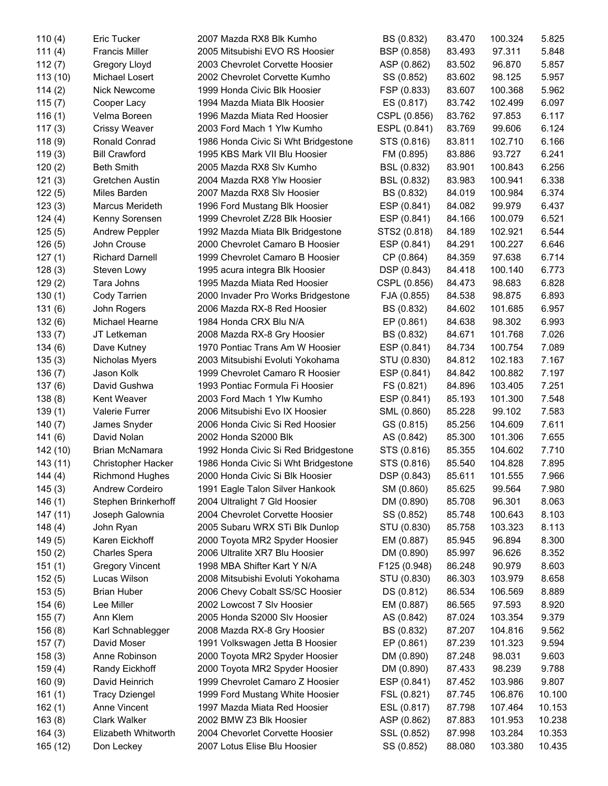| 110(4)    | Eric Tucker            | 2007 Mazda RX8 Blk Kumho            | BS (0.832)   | 83.470 | 100.324 | 5.825  |
|-----------|------------------------|-------------------------------------|--------------|--------|---------|--------|
| 111 $(4)$ | <b>Francis Miller</b>  | 2005 Mitsubishi EVO RS Hoosier      | BSP (0.858)  | 83.493 | 97.311  | 5.848  |
| 112(7)    | Gregory Lloyd          | 2003 Chevrolet Corvette Hoosier     | ASP (0.862)  | 83.502 | 96.870  | 5.857  |
| 113(10)   | Michael Losert         | 2002 Chevrolet Corvette Kumho       | SS (0.852)   | 83.602 | 98.125  | 5.957  |
| 114(2)    | Nick Newcome           | 1999 Honda Civic Blk Hoosier        | FSP (0.833)  | 83.607 | 100.368 | 5.962  |
| 115(7)    | Cooper Lacy            | 1994 Mazda Miata Blk Hoosier        | ES (0.817)   | 83.742 | 102.499 | 6.097  |
| 116(1)    | Velma Boreen           | 1996 Mazda Miata Red Hoosier        | CSPL (0.856) | 83.762 | 97.853  | 6.117  |
| 117(3)    | <b>Crissy Weaver</b>   | 2003 Ford Mach 1 Ylw Kumho          | ESPL (0.841) | 83.769 | 99.606  | 6.124  |
| 118(9)    | Ronald Conrad          | 1986 Honda Civic Si Wht Bridgestone | STS (0.816)  | 83.811 | 102.710 | 6.166  |
| 119(3)    | <b>Bill Crawford</b>   | 1995 KBS Mark VII Blu Hoosier       | FM (0.895)   | 83.886 | 93.727  | 6.241  |
| 120(2)    | <b>Beth Smith</b>      | 2005 Mazda RX8 Slv Kumho            | BSL (0.832)  | 83.901 | 100.843 | 6.256  |
| 121(3)    | <b>Gretchen Austin</b> | 2004 Mazda RX8 Ylw Hoosier          | BSL (0.832)  | 83.983 | 100.941 | 6.338  |
| 122(5)    | Miles Barden           | 2007 Mazda RX8 Slv Hoosier          | BS (0.832)   | 84.019 | 100.984 | 6.374  |
| 123(3)    | Marcus Merideth        | 1996 Ford Mustang Blk Hoosier       | ESP (0.841)  | 84.082 | 99.979  | 6.437  |
| 124(4)    | Kenny Sorensen         | 1999 Chevrolet Z/28 Blk Hoosier     | ESP (0.841)  | 84.166 | 100.079 | 6.521  |
| 125(5)    | Andrew Peppler         | 1992 Mazda Miata Blk Bridgestone    | STS2 (0.818) | 84.189 | 102.921 | 6.544  |
| 126(5)    | John Crouse            | 2000 Chevrolet Camaro B Hoosier     | ESP (0.841)  | 84.291 | 100.227 | 6.646  |
| 127(1)    | <b>Richard Darnell</b> | 1999 Chevrolet Camaro B Hoosier     | CP (0.864)   | 84.359 | 97.638  | 6.714  |
| 128(3)    | Steven Lowy            | 1995 acura integra Blk Hoosier      | DSP (0.843)  | 84.418 | 100.140 | 6.773  |
| 129(2)    | Tara Johns             | 1995 Mazda Miata Red Hoosier        | CSPL (0.856) | 84.473 | 98.683  | 6.828  |
| 130(1)    | Cody Tarrien           | 2000 Invader Pro Works Bridgestone  | FJA (0.855)  | 84.538 | 98.875  | 6.893  |
| 131(6)    | John Rogers            | 2006 Mazda RX-8 Red Hoosier         | BS (0.832)   | 84.602 | 101.685 | 6.957  |
| 132(6)    | Michael Hearne         | 1984 Honda CRX Blu N/A              | EP (0.861)   | 84.638 | 98.302  | 6.993  |
| 133(7)    | JT Letkeman            | 2008 Mazda RX-8 Gry Hoosier         | BS (0.832)   | 84.671 | 101.768 | 7.026  |
| 134(6)    | Dave Kutney            | 1970 Pontiac Trans Am W Hoosier     | ESP (0.841)  | 84.734 | 100.754 | 7.089  |
| 135(3)    | Nicholas Myers         | 2003 Mitsubishi Evoluti Yokohama    | STU (0.830)  | 84.812 | 102.183 | 7.167  |
| 136(7)    | Jason Kolk             | 1999 Chevrolet Camaro R Hoosier     | ESP (0.841)  | 84.842 | 100.882 | 7.197  |
| 137(6)    | David Gushwa           | 1993 Pontiac Formula Fi Hoosier     | FS (0.821)   | 84.896 | 103.405 | 7.251  |
| 138(8)    | Kent Weaver            | 2003 Ford Mach 1 Ylw Kumho          | ESP (0.841)  | 85.193 | 101.300 | 7.548  |
| 139(1)    | Valerie Furrer         | 2006 Mitsubishi Evo IX Hoosier      | SML (0.860)  | 85.228 | 99.102  | 7.583  |
| 140(7)    | James Snyder           | 2006 Honda Civic Si Red Hoosier     | GS (0.815)   | 85.256 | 104.609 | 7.611  |
| 141(6)    | David Nolan            | 2002 Honda S2000 Blk                | AS (0.842)   | 85.300 | 101.306 | 7.655  |
| 142 (10)  | Brian McNamara         | 1992 Honda Civic Si Red Bridgestone | STS (0.816)  | 85.355 | 104.602 | 7.710  |
| 143 (11)  | Christopher Hacker     | 1986 Honda Civic Si Wht Bridgestone | STS (0.816)  | 85.540 | 104.828 | 7.895  |
| 144 (4)   | <b>Richmond Hughes</b> | 2000 Honda Civic Si Blk Hoosier     | DSP (0.843)  | 85.611 | 101.555 | 7.966  |
| 145(3)    | <b>Andrew Cordeiro</b> | 1991 Eagle Talon Silver Hankook     | SM (0.860)   | 85.625 | 99.564  | 7.980  |
| 146(1)    | Stephen Brinkerhoff    | 2004 Ultralight 7 Gld Hoosier       | DM (0.890)   | 85.708 | 96.301  | 8.063  |
| 147 (11)  | Joseph Galownia        | 2004 Chevrolet Corvette Hoosier     | SS (0.852)   | 85.748 | 100.643 | 8.103  |
| 148(4)    | John Ryan              | 2005 Subaru WRX STi Blk Dunlop      | STU (0.830)  | 85.758 | 103.323 | 8.113  |
| 149(5)    | Karen Eickhoff         | 2000 Toyota MR2 Spyder Hoosier      | EM (0.887)   | 85.945 | 96.894  | 8.300  |
| 150(2)    | <b>Charles Spera</b>   | 2006 Ultralite XR7 Blu Hoosier      | DM (0.890)   | 85.997 | 96.626  | 8.352  |
| 151(1)    | <b>Gregory Vincent</b> | 1998 MBA Shifter Kart Y N/A         | F125 (0.948) | 86.248 | 90.979  | 8.603  |
| 152(5)    | Lucas Wilson           | 2008 Mitsubishi Evoluti Yokohama    | STU (0.830)  | 86.303 | 103.979 | 8.658  |
| 153(5)    | <b>Brian Huber</b>     | 2006 Chevy Cobalt SS/SC Hoosier     | DS (0.812)   | 86.534 | 106.569 | 8.889  |
| 154(6)    | Lee Miller             | 2002 Lowcost 7 Slv Hoosier          | EM (0.887)   | 86.565 | 97.593  | 8.920  |
| 155(7)    | Ann Klem               | 2005 Honda S2000 Slv Hoosier        | AS (0.842)   | 87.024 | 103.354 | 9.379  |
| 156(8)    | Karl Schnablegger      | 2008 Mazda RX-8 Gry Hoosier         | BS (0.832)   | 87.207 | 104.816 | 9.562  |
| 157(7)    | David Moser            | 1991 Volkswagen Jetta B Hoosier     | EP (0.861)   | 87.239 | 101.323 | 9.594  |
| 158(3)    | Anne Robinson          | 2000 Toyota MR2 Spyder Hoosier      | DM (0.890)   | 87.248 | 98.031  | 9.603  |
| 159(4)    | Randy Eickhoff         | 2000 Toyota MR2 Spyder Hoosier      | DM (0.890)   | 87.433 | 98.239  | 9.788  |
| 160(9)    | David Heinrich         | 1999 Chevrolet Camaro Z Hoosier     | ESP (0.841)  | 87.452 | 103.986 | 9.807  |
| 161(1)    | <b>Tracy Dziengel</b>  | 1999 Ford Mustang White Hoosier     | FSL (0.821)  | 87.745 | 106.876 | 10.100 |
| 162(1)    | Anne Vincent           | 1997 Mazda Miata Red Hoosier        | ESL (0.817)  | 87.798 | 107.464 | 10.153 |
| 163(8)    | Clark Walker           | 2002 BMW Z3 Blk Hoosier             | ASP (0.862)  | 87.883 | 101.953 | 10.238 |
| 164(3)    | Elizabeth Whitworth    | 2004 Chevorlet Corvette Hoosier     | SSL (0.852)  | 87.998 | 103.284 | 10.353 |
| 165 (12)  | Don Leckey             | 2007 Lotus Elise Blu Hoosier        | SS (0.852)   | 88.080 | 103.380 | 10.435 |
|           |                        |                                     |              |        |         |        |